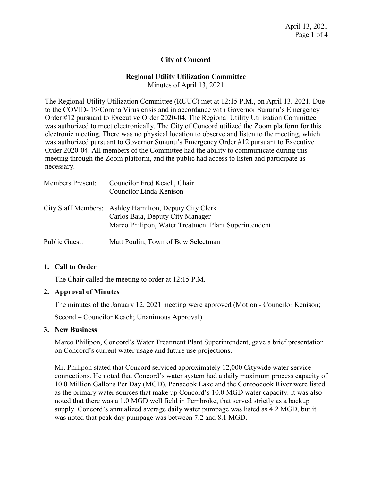# **City of Concord**

# **Regional Utility Utilization Committee**

Minutes of April 13, 2021

The Regional Utility Utilization Committee (RUUC) met at 12:15 P.M., on April 13, 2021. Due to the COVID- 19/Corona Virus crisis and in accordance with Governor Sununu's Emergency Order #12 pursuant to Executive Order 2020-04, The Regional Utility Utilization Committee was authorized to meet electronically. The City of Concord utilized the Zoom platform for this electronic meeting. There was no physical location to observe and listen to the meeting, which was authorized pursuant to Governor Sununu's Emergency Order #12 pursuant to Executive Order 2020-04. All members of the Committee had the ability to communicate during this meeting through the Zoom platform, and the public had access to listen and participate as necessary.

| <b>Members Present:</b> | Councilor Fred Keach, Chair<br>Councilor Linda Kenison                                                                                             |
|-------------------------|----------------------------------------------------------------------------------------------------------------------------------------------------|
|                         | City Staff Members: Ashley Hamilton, Deputy City Clerk<br>Carlos Baia, Deputy City Manager<br>Marco Philipon, Water Treatment Plant Superintendent |
| Public Guest:           | Matt Poulin, Town of Bow Selectman                                                                                                                 |

### **1. Call to Order**

The Chair called the meeting to order at 12:15 P.M.

### **2. Approval of Minutes**

The minutes of the January 12, 2021 meeting were approved (Motion - Councilor Kenison;

Second – Councilor Keach; Unanimous Approval).

### **3. New Business**

Marco Philipon, Concord's Water Treatment Plant Superintendent, gave a brief presentation on Concord's current water usage and future use projections.

Mr. Philipon stated that Concord serviced approximately 12,000 Citywide water service connections. He noted that Concord's water system had a daily maximum process capacity of 10.0 Million Gallons Per Day (MGD). Penacook Lake and the Contoocook River were listed as the primary water sources that make up Concord's 10.0 MGD water capacity. It was also noted that there was a 1.0 MGD well field in Pembroke, that served strictly as a backup supply. Concord's annualized average daily water pumpage was listed as 4.2 MGD, but it was noted that peak day pumpage was between 7.2 and 8.1 MGD.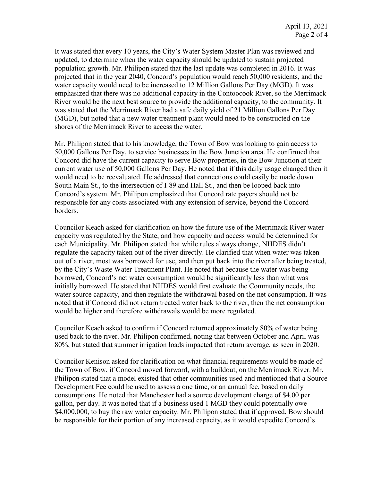It was stated that every 10 years, the City's Water System Master Plan was reviewed and updated, to determine when the water capacity should be updated to sustain projected population growth. Mr. Philipon stated that the last update was completed in 2016. It was projected that in the year 2040, Concord's population would reach 50,000 residents, and the water capacity would need to be increased to 12 Million Gallons Per Day (MGD). It was emphasized that there was no additional capacity in the Contoocook River, so the Merrimack River would be the next best source to provide the additional capacity, to the community. It was stated that the Merrimack River had a safe daily yield of 21 Million Gallons Per Day (MGD), but noted that a new water treatment plant would need to be constructed on the shores of the Merrimack River to access the water.

Mr. Philipon stated that to his knowledge, the Town of Bow was looking to gain access to 50,000 Gallons Per Day, to service businesses in the Bow Junction area. He confirmed that Concord did have the current capacity to serve Bow properties, in the Bow Junction at their current water use of 50,000 Gallons Per Day. He noted that if this daily usage changed then it would need to be reevaluated. He addressed that connections could easily be made down South Main St., to the intersection of I-89 and Hall St., and then be looped back into Concord's system. Mr. Philipon emphasized that Concord rate payers should not be responsible for any costs associated with any extension of service, beyond the Concord borders.

Councilor Keach asked for clarification on how the future use of the Merrimack River water capacity was regulated by the State, and how capacity and access would be determined for each Municipality. Mr. Philipon stated that while rules always change, NHDES didn't regulate the capacity taken out of the river directly. He clarified that when water was taken out of a river, most was borrowed for use, and then put back into the river after being treated, by the City's Waste Water Treatment Plant. He noted that because the water was being borrowed, Concord's net water consumption would be significantly less than what was initially borrowed. He stated that NHDES would first evaluate the Community needs, the water source capacity, and then regulate the withdrawal based on the net consumption. It was noted that if Concord did not return treated water back to the river, then the net consumption would be higher and therefore withdrawals would be more regulated.

Councilor Keach asked to confirm if Concord returned approximately 80% of water being used back to the river. Mr. Philipon confirmed, noting that between October and April was 80%, but stated that summer irrigation loads impacted that return average, as seen in 2020.

Councilor Kenison asked for clarification on what financial requirements would be made of the Town of Bow, if Concord moved forward, with a buildout, on the Merrimack River. Mr. Philipon stated that a model existed that other communities used and mentioned that a Source Development Fee could be used to assess a one time, or an annual fee, based on daily consumptions. He noted that Manchester had a source development charge of \$4.00 per gallon, per day. It was noted that if a business used 1 MGD they could potentially owe \$4,000,000, to buy the raw water capacity. Mr. Philipon stated that if approved, Bow should be responsible for their portion of any increased capacity, as it would expedite Concord's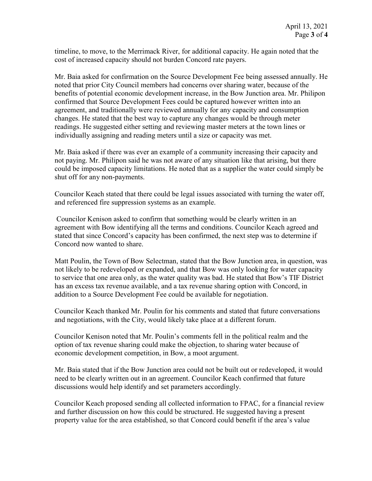timeline, to move, to the Merrimack River, for additional capacity. He again noted that the cost of increased capacity should not burden Concord rate payers.

Mr. Baia asked for confirmation on the Source Development Fee being assessed annually. He noted that prior City Council members had concerns over sharing water, because of the benefits of potential economic development increase, in the Bow Junction area. Mr. Philipon confirmed that Source Development Fees could be captured however written into an agreement, and traditionally were reviewed annually for any capacity and consumption changes. He stated that the best way to capture any changes would be through meter readings. He suggested either setting and reviewing master meters at the town lines or individually assigning and reading meters until a size or capacity was met.

Mr. Baia asked if there was ever an example of a community increasing their capacity and not paying. Mr. Philipon said he was not aware of any situation like that arising, but there could be imposed capacity limitations. He noted that as a supplier the water could simply be shut off for any non-payments.

Councilor Keach stated that there could be legal issues associated with turning the water off, and referenced fire suppression systems as an example.

Councilor Kenison asked to confirm that something would be clearly written in an agreement with Bow identifying all the terms and conditions. Councilor Keach agreed and stated that since Concord's capacity has been confirmed, the next step was to determine if Concord now wanted to share.

Matt Poulin, the Town of Bow Selectman, stated that the Bow Junction area, in question, was not likely to be redeveloped or expanded, and that Bow was only looking for water capacity to service that one area only, as the water quality was bad. He stated that Bow's TIF District has an excess tax revenue available, and a tax revenue sharing option with Concord, in addition to a Source Development Fee could be available for negotiation.

Councilor Keach thanked Mr. Poulin for his comments and stated that future conversations and negotiations, with the City, would likely take place at a different forum.

Councilor Kenison noted that Mr. Poulin's comments fell in the political realm and the option of tax revenue sharing could make the objection, to sharing water because of economic development competition, in Bow, a moot argument.

Mr. Baia stated that if the Bow Junction area could not be built out or redeveloped, it would need to be clearly written out in an agreement. Councilor Keach confirmed that future discussions would help identify and set parameters accordingly.

Councilor Keach proposed sending all collected information to FPAC, for a financial review and further discussion on how this could be structured. He suggested having a present property value for the area established, so that Concord could benefit if the area's value